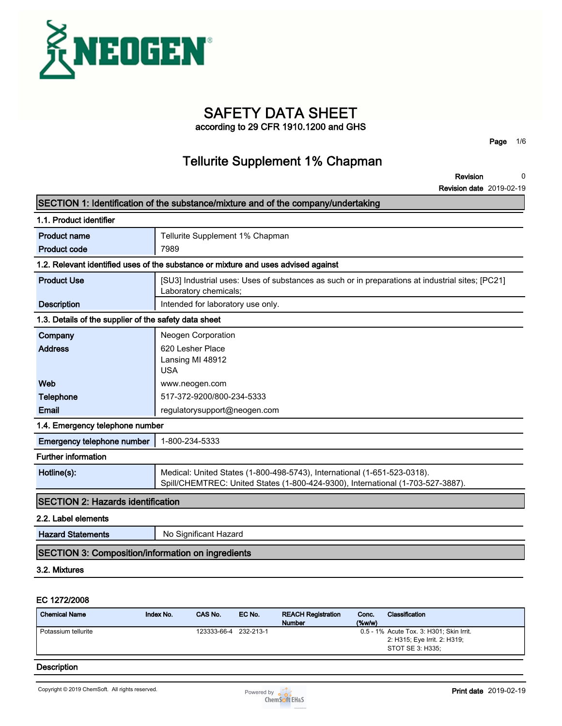

**SAFETY DATA SHEET**

**according to 29 CFR 1910.1200 and GHS**

**Page 1/6**

### **Tellurite Supplement 1% Chapman**

**Revision 0**

**Revision date 2019-02-19**

|                                                          | SECTION 1: Identification of the substance/mixture and of the company/undertaking                                                                           |
|----------------------------------------------------------|-------------------------------------------------------------------------------------------------------------------------------------------------------------|
| 1.1. Product identifier                                  |                                                                                                                                                             |
| <b>Product name</b>                                      | Tellurite Supplement 1% Chapman                                                                                                                             |
| <b>Product code</b>                                      | 7989                                                                                                                                                        |
|                                                          | 1.2. Relevant identified uses of the substance or mixture and uses advised against                                                                          |
| <b>Product Use</b>                                       | [SU3] Industrial uses: Uses of substances as such or in preparations at industrial sites; [PC21]<br>Laboratory chemicals;                                   |
| <b>Description</b>                                       | Intended for laboratory use only.                                                                                                                           |
| 1.3. Details of the supplier of the safety data sheet    |                                                                                                                                                             |
| Company                                                  | Neogen Corporation                                                                                                                                          |
| <b>Address</b>                                           | 620 Lesher Place<br>Lansing MI 48912<br><b>USA</b>                                                                                                          |
| Web                                                      | www.neogen.com                                                                                                                                              |
| <b>Telephone</b>                                         | 517-372-9200/800-234-5333                                                                                                                                   |
| Email                                                    | regulatorysupport@neogen.com                                                                                                                                |
| 1.4. Emergency telephone number                          |                                                                                                                                                             |
| Emergency telephone number                               | 1-800-234-5333                                                                                                                                              |
| <b>Further information</b>                               |                                                                                                                                                             |
| Hotline(s):                                              | Medical: United States (1-800-498-5743), International (1-651-523-0318).<br>Spill/CHEMTREC: United States (1-800-424-9300), International (1-703-527-3887). |
| <b>SECTION 2: Hazards identification</b>                 |                                                                                                                                                             |
| 2.2. Label elements                                      |                                                                                                                                                             |
| <b>Hazard Statements</b>                                 | No Significant Hazard                                                                                                                                       |
| <b>SECTION 3: Composition/information on ingredients</b> |                                                                                                                                                             |
| 3.2. Mixtures                                            |                                                                                                                                                             |
|                                                          |                                                                                                                                                             |
|                                                          |                                                                                                                                                             |

### **EC 1272/2008**

| <b>Chemical Name</b> | Index No. | CAS No.     | EC No.    | <b>REACH Registration</b> | Conc.     | Classification                                                                               |
|----------------------|-----------|-------------|-----------|---------------------------|-----------|----------------------------------------------------------------------------------------------|
|                      |           |             |           | <b>Number</b>             | $(\%w/w)$ |                                                                                              |
| Potassium tellurite  |           | 123333-66-4 | 232-213-1 |                           |           | 0.5 - 1% Acute Tox. 3: H301; Skin Irrit.<br>2: H315; Eye Irrit. 2: H319;<br>STOT SE 3: H335: |
|                      |           |             |           |                           |           |                                                                                              |

#### **Description**

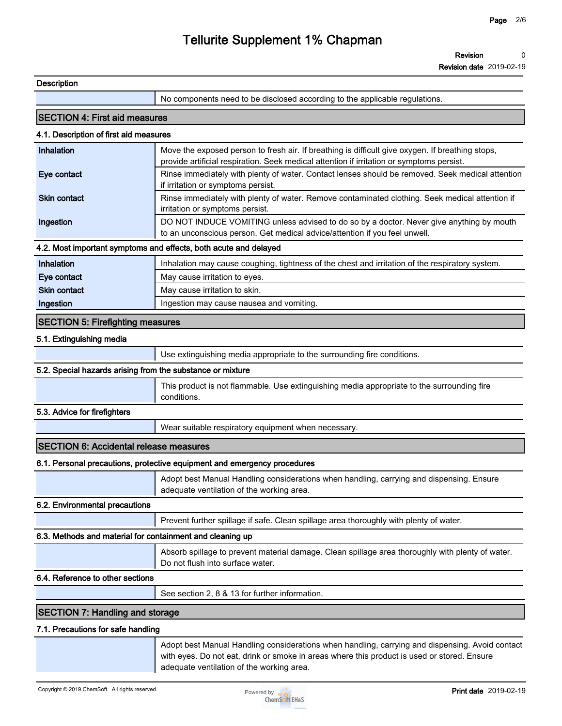**Revision 0**

**Revision date 2019-02-19**

| Description                                                |                                                                                                                                                                                                |  |
|------------------------------------------------------------|------------------------------------------------------------------------------------------------------------------------------------------------------------------------------------------------|--|
|                                                            | No components need to be disclosed according to the applicable regulations.                                                                                                                    |  |
| <b>SECTION 4: First aid measures</b>                       |                                                                                                                                                                                                |  |
| 4.1. Description of first aid measures                     |                                                                                                                                                                                                |  |
| Inhalation                                                 | Move the exposed person to fresh air. If breathing is difficult give oxygen. If breathing stops,<br>provide artificial respiration. Seek medical attention if irritation or symptoms persist.  |  |
| Eye contact                                                | Rinse immediately with plenty of water. Contact lenses should be removed. Seek medical attention<br>if irritation or symptoms persist.                                                         |  |
| <b>Skin contact</b>                                        | Rinse immediately with plenty of water. Remove contaminated clothing. Seek medical attention if<br>irritation or symptoms persist.                                                             |  |
| Ingestion                                                  | DO NOT INDUCE VOMITING unless advised to do so by a doctor. Never give anything by mouth<br>to an unconscious person. Get medical advice/attention if you feel unwell.                         |  |
|                                                            | 4.2. Most important symptoms and effects, both acute and delayed                                                                                                                               |  |
| Inhalation                                                 | Inhalation may cause coughing, tightness of the chest and irritation of the respiratory system.                                                                                                |  |
| Eye contact                                                | May cause irritation to eyes.                                                                                                                                                                  |  |
| Skin contact                                               | May cause irritation to skin.                                                                                                                                                                  |  |
| Ingestion                                                  | Ingestion may cause nausea and vomiting.                                                                                                                                                       |  |
| <b>SECTION 5: Firefighting measures</b>                    |                                                                                                                                                                                                |  |
| 5.1. Extinguishing media                                   |                                                                                                                                                                                                |  |
|                                                            | Use extinguishing media appropriate to the surrounding fire conditions.                                                                                                                        |  |
| 5.2. Special hazards arising from the substance or mixture |                                                                                                                                                                                                |  |
|                                                            | This product is not flammable. Use extinguishing media appropriate to the surrounding fire<br>conditions.                                                                                      |  |
| 5.3. Advice for firefighters                               |                                                                                                                                                                                                |  |
|                                                            | Wear suitable respiratory equipment when necessary.                                                                                                                                            |  |
| <b>SECTION 6: Accidental release measures</b>              |                                                                                                                                                                                                |  |
|                                                            | 6.1. Personal precautions, protective equipment and emergency procedures                                                                                                                       |  |
|                                                            | Adopt best Manual Handling considerations when handling, carrying and dispensing. Ensure<br>adequate ventilation of the working area.                                                          |  |
| 6.2. Environmental precautions                             |                                                                                                                                                                                                |  |
|                                                            | Prevent further spillage if safe. Clean spillage area thoroughly with plenty of water.                                                                                                         |  |
| 6.3. Methods and material for containment and cleaning up  |                                                                                                                                                                                                |  |
|                                                            | Absorb spillage to prevent material damage. Clean spillage area thoroughly with plenty of water.<br>Do not flush into surface water.                                                           |  |
| 6.4. Reference to other sections                           |                                                                                                                                                                                                |  |
|                                                            | See section 2, 8 & 13 for further information.                                                                                                                                                 |  |
| <b>SECTION 7: Handling and storage</b>                     |                                                                                                                                                                                                |  |
| 7.1. Precautions for safe handling                         |                                                                                                                                                                                                |  |
|                                                            | Adopt best Manual Handling considerations when handling, carrying and dispensing. Avoid contact<br>with eyes. Do not eat, drink or smoke in areas where this product is used or stored. Ensure |  |



**adequate ventilation of the working area.**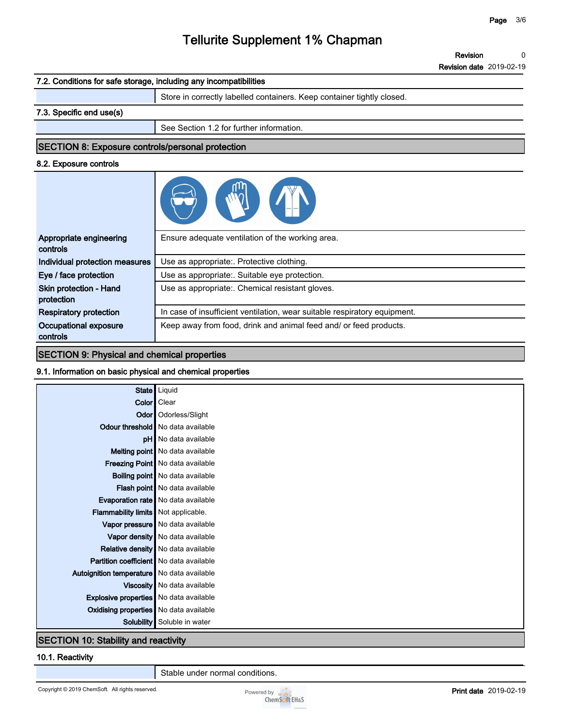**Revision date 2019-02-19**

# **7.2. Conditions for safe storage, including any incompatibilities Store in correctly labelled containers. Keep container tightly closed. 7.3. Specific end use(s) See Section 1.2 for further information. SECTION 8: Exposure controls/personal protection 8.2. Exposure controls Appropriate engineering controls Ensure adequate ventilation of the working area. Individual protection measures Use as appropriate:. Protective clothing. Eye / face protection Use as appropriate:. Suitable eye protection. Skin protection - Hand protection Use as appropriate:. Chemical resistant gloves. Respiratory protection In case of insufficient ventilation, wear suitable respiratory equipment.**

**Keep away from food, drink and animal feed and/ or feed products.**

#### **SECTION 9: Physical and chemical properties**

**Occupational exposure controls**

#### **9.1. Information on basic physical and chemical properties**

| State   Liquid                                 |                                        |
|------------------------------------------------|----------------------------------------|
| Color   Clear                                  |                                        |
|                                                | Odor   Odorless/Slight                 |
| Odour threshold   No data available            |                                        |
|                                                | <b>pH</b> No data available            |
|                                                | Melting point No data available        |
|                                                | Freezing Point No data available       |
|                                                | <b>Boiling point</b> No data available |
|                                                | Flash point No data available          |
| Evaporation rate   No data available           |                                        |
| Flammability limits Not applicable.            |                                        |
|                                                | Vapor pressure   No data available     |
|                                                | Vapor density   No data available      |
| Relative density   No data available           |                                        |
| <b>Partition coefficient</b> No data available |                                        |
| Autoignition temperature   No data available   |                                        |
|                                                | Viscosity   No data available          |
| <b>Explosive properties</b> No data available  |                                        |
| Oxidising properties No data available         |                                        |
| Solubility                                     | Soluble in water                       |
| <b>SECTION 10: Stability and reactivity</b>    |                                        |

#### **10.1. Reactivity**

**Stable under normal conditions.**

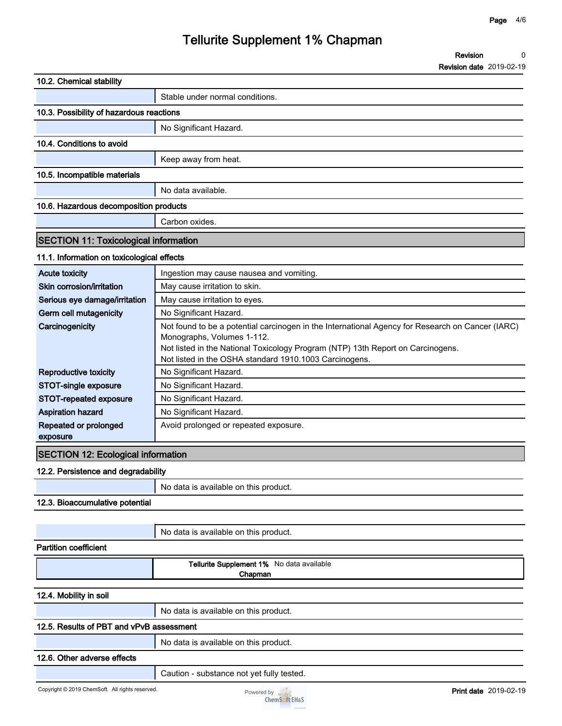**Revision date 2019-02-19**

| 10.2. Chemical stability                        |                                                                                                               |
|-------------------------------------------------|---------------------------------------------------------------------------------------------------------------|
|                                                 | Stable under normal conditions.                                                                               |
| 10.3. Possibility of hazardous reactions        |                                                                                                               |
|                                                 | No Significant Hazard.                                                                                        |
| 10.4. Conditions to avoid                       |                                                                                                               |
|                                                 | Keep away from heat.                                                                                          |
| 10.5. Incompatible materials                    |                                                                                                               |
|                                                 |                                                                                                               |
|                                                 | No data available.                                                                                            |
| 10.6. Hazardous decomposition products          |                                                                                                               |
|                                                 | Carbon oxides.                                                                                                |
| <b>SECTION 11: Toxicological information</b>    |                                                                                                               |
| 11.1. Information on toxicological effects      |                                                                                                               |
| <b>Acute toxicity</b>                           | Ingestion may cause nausea and vomiting.                                                                      |
| Skin corrosion/irritation                       | May cause irritation to skin.                                                                                 |
| Serious eye damage/irritation                   | May cause irritation to eyes.                                                                                 |
| Germ cell mutagenicity                          | No Significant Hazard.                                                                                        |
| Carcinogenicity                                 | Not found to be a potential carcinogen in the International Agency for Research on Cancer (IARC)              |
|                                                 | Monographs, Volumes 1-112.<br>Not listed in the National Toxicology Program (NTP) 13th Report on Carcinogens. |
|                                                 | Not listed in the OSHA standard 1910.1003 Carcinogens.                                                        |
| <b>Reproductive toxicity</b>                    | No Significant Hazard.                                                                                        |
| STOT-single exposure                            | No Significant Hazard.                                                                                        |
| STOT-repeated exposure                          | No Significant Hazard.                                                                                        |
| <b>Aspiration hazard</b>                        | No Significant Hazard.                                                                                        |
| Repeated or prolonged                           | Avoid prolonged or repeated exposure.                                                                         |
| exposure                                        |                                                                                                               |
| <b>SECTION 12: Ecological information</b>       |                                                                                                               |
| 12.2. Persistence and degradability             |                                                                                                               |
|                                                 | No data is available on this product.                                                                         |
| 12.3. Bioaccumulative potential                 |                                                                                                               |
|                                                 |                                                                                                               |
|                                                 | No data is available on this product.                                                                         |
| <b>Partition coefficient</b>                    |                                                                                                               |
|                                                 | Tellurite Supplement 1% No data available                                                                     |
|                                                 | Chapman                                                                                                       |
|                                                 |                                                                                                               |
| 12.4. Mobility in soil                          |                                                                                                               |
|                                                 | No data is available on this product.                                                                         |
| 12.5. Results of PBT and vPvB assessment        |                                                                                                               |
|                                                 | No data is available on this product.                                                                         |
| 12.6. Other adverse effects                     |                                                                                                               |
|                                                 | Caution - substance not yet fully tested.                                                                     |
| Copyright © 2019 ChemSoft. All rights reserved. | <b>Print date</b> 2019-02-19<br>Powered by $\frac{1}{2}$                                                      |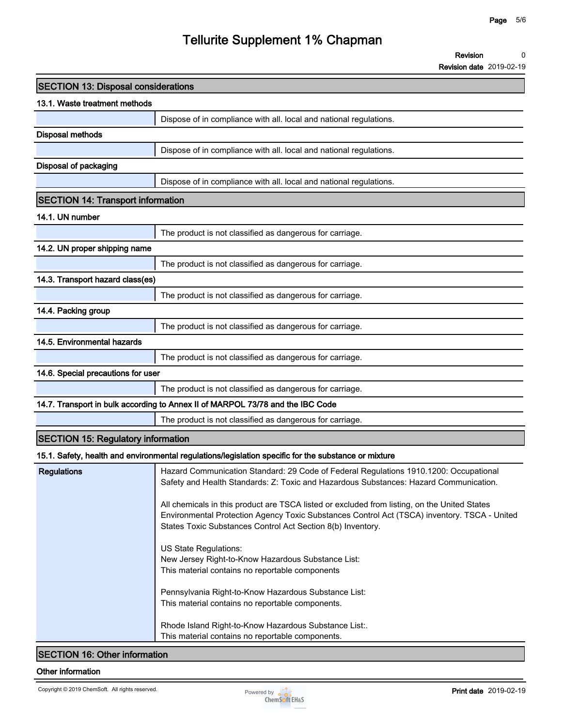**Revision date 2019-02-19**

| <b>SECTION 13: Disposal considerations</b> |                                                                                                                                                                                                                                                             |  |
|--------------------------------------------|-------------------------------------------------------------------------------------------------------------------------------------------------------------------------------------------------------------------------------------------------------------|--|
| 13.1. Waste treatment methods              |                                                                                                                                                                                                                                                             |  |
|                                            | Dispose of in compliance with all. local and national regulations.                                                                                                                                                                                          |  |
| <b>Disposal methods</b>                    |                                                                                                                                                                                                                                                             |  |
|                                            | Dispose of in compliance with all. local and national regulations.                                                                                                                                                                                          |  |
| Disposal of packaging                      |                                                                                                                                                                                                                                                             |  |
|                                            | Dispose of in compliance with all. local and national regulations.                                                                                                                                                                                          |  |
| <b>SECTION 14: Transport information</b>   |                                                                                                                                                                                                                                                             |  |
| 14.1. UN number                            |                                                                                                                                                                                                                                                             |  |
|                                            | The product is not classified as dangerous for carriage.                                                                                                                                                                                                    |  |
| 14.2. UN proper shipping name              |                                                                                                                                                                                                                                                             |  |
|                                            | The product is not classified as dangerous for carriage.                                                                                                                                                                                                    |  |
| 14.3. Transport hazard class(es)           |                                                                                                                                                                                                                                                             |  |
|                                            | The product is not classified as dangerous for carriage.                                                                                                                                                                                                    |  |
| 14.4. Packing group                        |                                                                                                                                                                                                                                                             |  |
|                                            | The product is not classified as dangerous for carriage.                                                                                                                                                                                                    |  |
| 14.5. Environmental hazards                |                                                                                                                                                                                                                                                             |  |
|                                            | The product is not classified as dangerous for carriage.                                                                                                                                                                                                    |  |
| 14.6. Special precautions for user         |                                                                                                                                                                                                                                                             |  |
|                                            | The product is not classified as dangerous for carriage.                                                                                                                                                                                                    |  |
|                                            | 14.7. Transport in bulk according to Annex II of MARPOL 73/78 and the IBC Code                                                                                                                                                                              |  |
|                                            | The product is not classified as dangerous for carriage.                                                                                                                                                                                                    |  |
| <b>SECTION 15: Regulatory information</b>  |                                                                                                                                                                                                                                                             |  |
|                                            | 15.1. Safety, health and environmental regulations/legislation specific for the substance or mixture                                                                                                                                                        |  |
| <b>Regulations</b>                         | Hazard Communication Standard: 29 Code of Federal Regulations 1910.1200: Occupational<br>Safety and Health Standards: Z: Toxic and Hazardous Substances: Hazard Communication.                                                                              |  |
|                                            | All chemicals in this product are TSCA listed or excluded from listing, on the United States<br>Environmental Protection Agency Toxic Substances Control Act (TSCA) inventory. TSCA - United<br>States Toxic Substances Control Act Section 8(b) Inventory. |  |
|                                            | US State Regulations:<br>New Jersey Right-to-Know Hazardous Substance List:<br>This material contains no reportable components                                                                                                                              |  |
|                                            | Pennsylvania Right-to-Know Hazardous Substance List:<br>This material contains no reportable components.                                                                                                                                                    |  |
|                                            | Rhode Island Right-to-Know Hazardous Substance List:.<br>This material contains no reportable components.                                                                                                                                                   |  |
| <b>SECTION 16: Other information</b>       |                                                                                                                                                                                                                                                             |  |

#### **Other information**